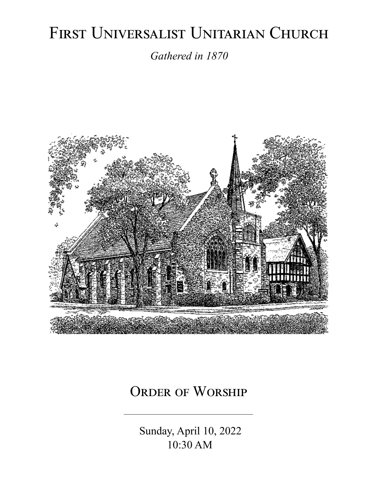# FIRST UNIVERSALIST UNITARIAN CHURCH

*Gathered in 1870*



# ORDER OF WORSHIP

Sunday, April 10, 2022 10:30 AM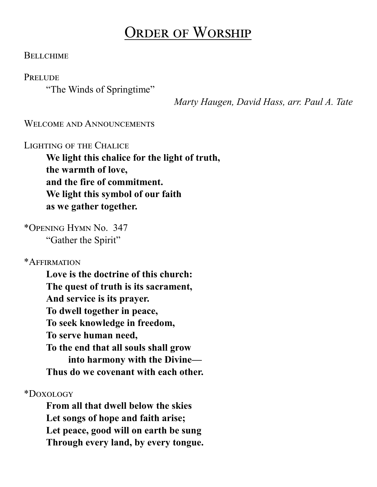# Order of Worship

#### **BELLCHIME**

**PRELUDE** 

"The Winds of Springtime"

 *Marty Haugen, David Hass, arr. Paul A. Tate*

WELCOME AND ANNOUNCEMENTS

Lighting of the Chalice

**We light this chalice for the light of truth, the warmth of love, and the fire of commitment. We light this symbol of our faith as we gather together.**

\*Opening Hymn No. 347 "Gather the Spirit"

\*Affirmation

**Love is the doctrine of this church: The quest of truth is its sacrament, And service is its prayer. To dwell together in peace, To seek knowledge in freedom, To serve human need, To the end that all souls shall grow into harmony with the Divine— Thus do we covenant with each other.**

\*Doxology

**From all that dwell below the skies Let songs of hope and faith arise; Let peace, good will on earth be sung Through every land, by every tongue.**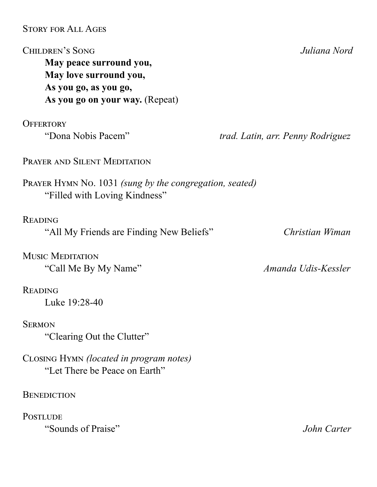Story for All Ages Children's Song *Juliana Nord* **May peace surround you, May love surround you, As you go, as you go, As you go on your way.** (Repeat) **OFFERTORY** "Dona Nobis Pacem" *trad. Latin, arr. Penny Rodriguez* Prayer and Silent Meditation Prayer Hymn No. 1031 *(sung by the congregation, seated)* "Filled with Loving Kindness" Reading "All My Friends are Finding New Beliefs" *Christian Wiman* Music Meditation "Call Me By My Name" *Amanda Udis-Kessler* **READING** Luke 19:28-40 **SERMON** "Clearing Out the Clutter" Closing Hymn *(located in program notes)* "Let There be Peace on Earth"

**BENEDICTION** 

**POSTLUDE** "Sounds of Praise" *John Carter*